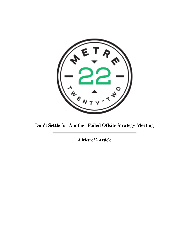

**Don't Settle for Another Failed Offsite Strategy Meeting**

**A Metre22 Article**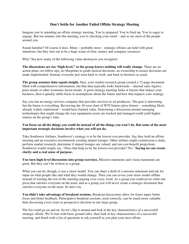# **Don't Settle for Another Failed Offsite Strategy Meeting**

Imagine you're attending an offsite strategy meeting. You're prepared. You're fired up. You're eager to engage. But ten minutes into the meeting, you're checking your email – and so are most of the people around you.

Sound familiar? Of course it does. Many – probably most – strategic offsites are held with great intentions, but they turn out to be a huge waste of time, money and company resources.

Why? See how many of the following value-destroyers you recognize:

**The discussions are too "high-level," so the group knows nothing will really change.** There are no action plans, no follow-ups, no blueprints to guide tactical decisions, no ownership to ensure decisions are made implemented. Instead, everyone just went back to work, and back to business as usual.

**The group assumes data equals insight.** Sure, your market research group created a 72-page document filled with comprehensive information, but that data typically looks backwards – internal sales figures, price trends or other economic factor trends. A great strategy meeting looks at factors that impact your business, then it quickly shifts focus to assumptions about the future and how that impacts your strategy.

Say you run an energy services company that provides services to oil producers. The past is interesting but the future is everything. Reviewing the 10-year chart of WTI futures price history – something likely already widely understood – would have limited value. Structuring a discussion around emerging technologies that might change the way equipment assets are tracked and managed could yield higher returns on the group's time.

#### **You focus on all the things you could do instead of all the things you won't do. But some of the most important strategic decisions involve what you will not do.**

Take Southwest Airlines. Southwest's strategy is to be the lowest-cost provider. Say they hold an offsite meeting and an executive recommends creating airport lounges. Other airlines might commission a study, perform market research, determine if airport lounges are valued, and run cost-benefit projections. Southwest would simply say, "Does that help us be the lowest-cost provider? No." **Saying no can create clarity and a real sense of purpose.** 

**You turn high-level discussions into group exercises.** Mission statements and vision statements are great. But they can't be written as a group.

What you can do, though, is use a straw model. You can share a draft of a mission statement and ask for input on what people like and what they would change. Then you can revise your straw model offline instead of wasting the rest of the meeting arguing over every word. As a group you could never order one pizza that satisfies everyone on the team, and as a group you will never create a strategic document that satisfies everyone on the team. So don't try.

**You didn't take advantage of breakout sessions.** Breakout discussions allow for faster input, better focus and better feedback. Participative breakout sessions, used correctly, can be much more valuable than discussing every issue or prospective decision in one large group.

The list could go on and on. So let's flip it around and look at the key characteristics of a successful strategic offsite. We'll start with basic ground rules, then look at key characteristics of a successful meeting, and finish with a list of questions to ask yourself as you plan your next offsite.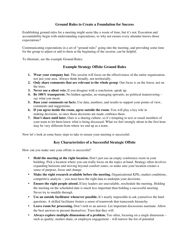# **Ground Rules to Create a Foundation for Success**

Establishing ground rules for a meeting might seem like a waste of time, but it's not. Execution and accountability begin with understanding expectations, so why not ensure every attendee knows those expectations?

Communicating expectations in a set of "ground rules" going into the meeting, and providing some time for the group to adjust or add to them at the beginning of the session, can be helpful.

To illustrate, see the example Ground Rules:

### **Example Strategy Offsite Ground Rules**

- **1. Wear your company hat.** This session will focus on the effectiveness of the entire organization, not just your area. Always think broadly, not territorially.
- **2. Only share comments that are relevant to the whole group**. Our focus is on the forest, not on the trees.
- **3. Never use a silent veto.** If you disagree with a conclusion, speak up.
- **4. Be 100% transparent.** No hidden agendas, no managing upwards, no political maneuvering say what you mean.
- **5. Base your comments on facts.** Use data, numbers, and results to support your points of view, comments and suggestions.
- **6. If you agree inside the room, agree outside the room.** You will play a key role in making decisions, so once those decisions are made, embrace them.
- **7. Don't share until later.** Ours is a sharing culture, so it's tempting to text or email members of your team to let them know what is being discussed. What we feel strongly about in the first hour may be very different from where we end up as a team.

Now let's look at some basic steps to take to ensure your meeting is successful.

### **Key Characteristics of a Successful Strategic Offsite**

How can you make sure your offsite is successful?

- **Hold the meeting at the right location.** Don't just use an empty conference room in your building. Pick a location where you can really focus on the topics at hand. Strategy often involves expanding horizons and moving beyond comfort zones, so make sure your location creates a sense of purpose, focus and change.
- Make the right research available before the meeting. Organizational KPIs, market conditions, competitive analysis – you must have the right data to underpin your decisions.
- **Ensure the right people attend.** If key leaders are unavailable, reschedule the meeting. Holding the meeting on the scheduled date is much less important than holding a successful meeting. Never try to muddle through.
- **Use an outside facilitator whenever possible.** It's nearly impossible to ask yourselves the hard questions. A skilled facilitator fosters a sense of teamwork that transcends hierarchy.
- Leave room for processing. Don't rush to an answer. Let important discussions marinate. Allow the best answers to present themselves. Trust that they will.
- **Always explore multiple dimensions of a problem.** Too often, focusing on a single dimension such as quality, market share, or employee engagement – will narrow the list of potential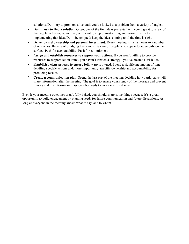solutions. Don't try to problem solve until you've looked at a problem from a variety of angles.

- **Don't rush to find a solution.** Often, one of the first ideas presented will sound great to a few of the people in the room, and they will want to stop brainstorming and move directly to implementing that idea. Don't be tempted; keep the ideas coming until the time is right.
- **Drive toward ownership and personal investment.** Every meeting is just a means to a number of outcomes. Beware of grudging head-nods. Beware of people who appear to agree only on the surface. Push for accountability. Push for commitment.
- **Assign and establish resources to support your actions.** If you aren't willing to provide resources to support action items, you haven't created a strategy.; you've created a wish list.
- Establish a clear process to ensure follow-up is owned. Spend a significant amount of time detailing specific actions and, more importantly, specific ownership and accountability for producing results.
- **Create a communication plan.** Spend the last part of the meeting deciding how participants will share information after the meeting. The goal is to ensure consistency of the message and prevent rumors and misinformation. Decide who needs to know what, and when.

Even if your meeting outcomes aren't fully baked, you should share some things because it's a great opportunity to build engagement by planting seeds for future communication and future discussions. As long as everyone in the meeting knows what to say, and to whom.